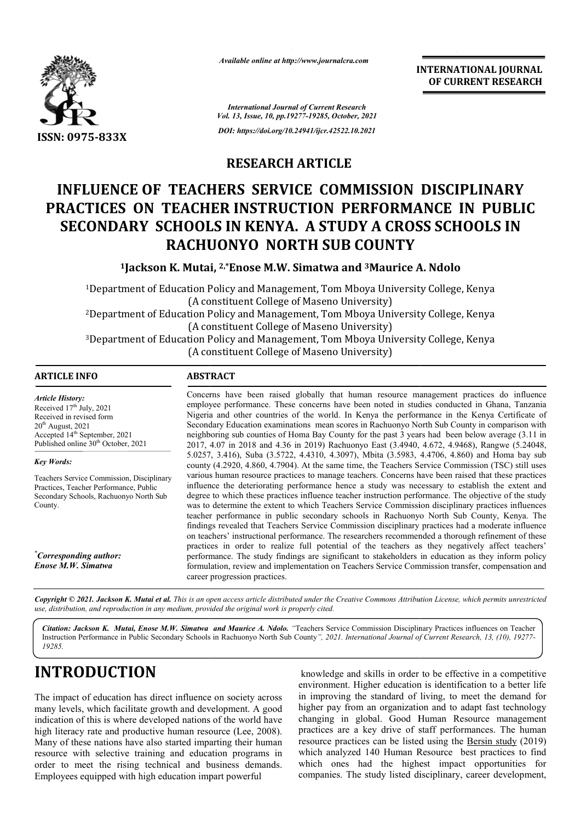

*Available online at http://www.journalcra.com*

**INTERNATIONAL JOURNAL OF CURRENT RESEARCH**

*International Journal of Current Research Vol. 13, Issue, 10, pp.19277-19285, October, 2021 DOI: https://doi.org/10.24941/ijcr.42522.10.2021*

## **RESEARCH ARTICLE**

# **INFLUENCE OF TEACHERS SERVICE COMMISSION DISCIPLINARY PRACTICES ON TEACHER INSTRUCTION PERFORMANCE IN PUBLIC SECONDARY SCHOOLS IN KENYA. A STUDY A CROSS SCHOOLS IN RACHUONYO NORTH SUB COUNTY TEACHERS SERVICE COMMISSION DI<br>
TEACHER INSTRUCTION PERFORMAN<br>
CHOOLS IN KENYA. A STUDY A CROSS<br>
RACHUONYO NORTH SUB COUNTY<br>
K. Mutai, 2<sup>,\*</sup>Enose M.W. Simatwa and <sup>3</sup>Maurice A. N**

**1Jackson K. Mutai, Jackson 2,\*Enose M.W. Simatwa and 3Maurice A. Ndolo**

1Department of Education Policy and Management, Tom Mboya University College, Kenya (A constituent College of Maseno University) 2Department of Education Policy and Management, Tom Mboya University College, Kenya (A constituent College of Maseno University) 3Department of Education Policy and Management, Tom Mboya University College, Kenya (A constituent College of Maseno University) Department of Education Policy and Management, Tom (A constituent College of Maseno I<br>Department of Education Policy and Management, Tom<br>(A constituent College of Maseno I)<br>Department of Education Policy and Management, To

## **ARTICLE INFO ABSTRACT**

*Article History: Article History:* Received  $17<sup>th</sup>$  July, 2021 Received in revised form<br>20<sup>th</sup> August, 2021  $20<sup>th</sup>$  August,  $2021$ Accepted 14<sup>th</sup> September, 2021 Published online 30<sup>th</sup> October, 2021

*Key Words:*

Teachers Service Commission, Disciplinary Practices, Teacher Performance, Public Secondary Schools, Rachuonyo North Sub County.

*\* Corresponding author: Enose M.W. Simatwa*

Concerns have been raised globally that human resource management practices do influence Concerns have been raised globally that human resource management practices do influence employee performance. These concerns have been noted in studies conducted in Ghana, Tanzania Nigeria and other countries of the world. In Kenya the performance in the Kenya Certificate of Secondary Education examinations mean scores in Rachuonyo North Sub County in comparison with neighboring sub counties of Homa Bay County for the past 3 years had been below average (3.11 in 2017, 4.07 in 2018 and 4.36 in 2019) Rachuonyo East (3.4940, 4.672, 4.9468), Rangwe (5.24048, 5.0257, 3.416), Suba (3.5722, 4.4310, 4.3097), Mbita (3.5983, 4.4706, 4.860) and Homa bay sub county (4.2920, 4.860, 4.7904). At the same time, the Teachers Service Commission (TSC) still uses various human resource practices to manage teachers. Concerns have been raised that these practices influence the deteriorating performance hence a study was necessary to establish the extent and degree to which these practices influence teacher instruction performance. The objective of the study was to determine the extent to which Teachers Service Commission disciplinary practices influences teacher performance in public secondary schools in Rachuonyo North Sub County, Kenya. The findings revealed that Teachers Service Commission disciplinary practices had a moderate influence on teachers' instructional performance. The researchers recommended a thorough refinement of these practices in order to realize full potential of the teachers as they negatively affect teachers' performance. The study findings are significant to stakeholders in education as they inform policy formulation, review and implementation on Teachers Service Commission transfer, compensation and career progression practices. s human resource practices to manage teachers. Concerns have been raised that these practices are the deteriorating performance hence a study was necessary to establish the extent and to which these practices influence tea Secondary Education examinations mean scores in Rachuonyo North Sub County in comparison with<br>neighboring sub counties of Homa Bay County for the past 3 years had been below average (3.11 in<br>2017, 4.07 in 2018 and 4.36 in

Copyright © 2021. Jackson K. Mutai et al. This is an open access article distributed under the Creative Commons Attribution License, which permits unrestricted *use, distribution, and reproduction in any medium, provided the original work is properly cited.*

Citation: Jackson K. Mutai, Enose M.W. Simatwa and Maurice A. Ndolo. "Teachers Service Commission Disciplinary Practices influences on Teacher Instruction Performance in Public Secondary Schools in Rachuonyo North Sub County *", 2021. International Journal of Current Research, 13, (10), 19277-19285.*

# **INTRODUCTION**

The impact of education has direct influence on society across many levels, which facilitate growth and development. A good indication of this is where developed nations of the world have high literacy rate and productive human resource (Lee, 2008). Many of these nations have also started imparting their human resource with selective training and education programs in order to meet the rising technical and business demands. Employees equipped with high education impart powerful

knowledge and skills in order to be effective in a competitive<br>environment. Higher education is identification to a better life<br>th and development. A good<br>this in improving the standard of living, to meet the demand for<br>th environment. Higher education is identification to a better life knowledge and skills in order to be effective in a competitive<br>environment. Higher education is identification to a better life<br>in improving the standard of living, to meet the demand for higher pay from an organization and to adapt fast technology changing in global. Good Human Resource management practices are a key drive of staff performances. The human higher pay from an organization and to adapt fast technology changing in global. Good Human Resource management practices are a key drive of staff performances. The human resource practices can be listed using the <u>Bersin </u> which analyzed 140 Human Resource best practices to find which ones had the highest impact opportunities for companies. The study listed disciplinary, career development, analyzed 140 Human Resource best practices to find<br>ones had the highest impact opportunities for<br>nies. The study listed disciplinary, career development,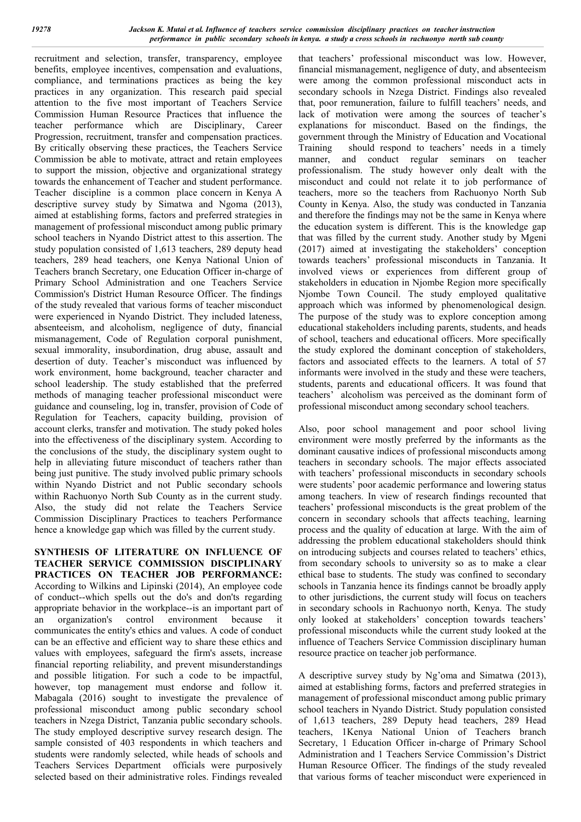recruitment and selection, transfer, transparency, employee benefits, employee incentives, compensation and evaluations, compliance, and terminations practices as being the key practices in any organization. This research paid special attention to the five most important of Teachers Service Commission Human Resource Practices that influence the teacher performance which are Disciplinary, Career Progression, recruitment, transfer and compensation practices. By critically observing these practices, the Teachers Service Commission be able to motivate, attract and retain employees to support the mission, objective and organizational strategy towards the enhancement of Teacher and student performance. Teacher discipline is a common place concern in Kenya A descriptive survey study by Simatwa and Ngoma (2013), aimed at establishing forms, factors and preferred strategies in management of professional misconduct among public primary school teachers in Nyando District attest to this assertion. The study population consisted of 1,613 teachers, 289 deputy head teachers, 289 head teachers, one Kenya National Union of Teachers branch Secretary, one Education Officer in-charge of Primary School Administration and one Teachers Service Commission's District Human Resource Officer. The findings of the study revealed that various forms of teacher misconduct were experienced in Nyando District. They included lateness, absenteeism, and alcoholism, negligence of duty, financial mismanagement, Code of Regulation corporal punishment, sexual immorality, insubordination, drug abuse, assault and desertion of duty. Teacher's misconduct was influenced by work environment, home background, teacher character and school leadership. The study established that the preferred methods of managing teacher professional misconduct were guidance and counseling, log in, transfer, provision of Code of Regulation for Teachers, capacity building, provision of account clerks, transfer and motivation. The study poked holes into the effectiveness of the disciplinary system. According to the conclusions of the study, the disciplinary system ought to help in alleviating future misconduct of teachers rather than being just punitive. The study involved public primary schools within Nyando District and not Public secondary schools within Rachuonyo North Sub County as in the current study. Also, the study did not relate the Teachers Service Commission Disciplinary Practices to teachers Performance hence a knowledge gap which was filled by the current study.

**SYNTHESIS OF LITERATURE ON INFLUENCE OF TEACHER SERVICE COMMISSION DISCIPLINARY PRACTICES ON TEACHER JOB PERFORMANCE:**  According to Wilkins and Lipinski (2014), An employee code of conduct--which spells out the do's and don'ts regarding appropriate behavior in the workplace--is an important part of an organization's control environment because it communicates the entity's ethics and values. A code of conduct can be an effective and efficient way to share these ethics and values with employees, safeguard the firm's assets, increase financial reporting reliability, and prevent misunderstandings and possible litigation. For such a code to be impactful, however, top management must endorse and follow it. Mabagala (2016) sought to investigate the prevalence of professional misconduct among public secondary school teachers in Nzega District, Tanzania public secondary schools. The study employed descriptive survey research design. The sample consisted of 403 respondents in which teachers and students were randomly selected, while heads of schools and Teachers Services Department officials were purposively selected based on their administrative roles. Findings revealed

that teachers' professional misconduct was low. However, financial mismanagement, negligence of duty, and absenteeism were among the common professional misconduct acts in secondary schools in Nzega District. Findings also revealed that, poor remuneration, failure to fulfill teachers' needs, and lack of motivation were among the sources of teacher's explanations for misconduct. Based on the findings, the government through the Ministry of Education and Vocational Training should respond to teachers' needs in a timely manner, and conduct regular seminars on teacher professionalism. The study however only dealt with the misconduct and could not relate it to job performance of teachers, more so the teachers from Rachuonyo North Sub County in Kenya. Also, the study was conducted in Tanzania and therefore the findings may not be the same in Kenya where the education system is different. This is the knowledge gap that was filled by the current study. Another study by Mgeni (2017) aimed at investigating the stakeholders' conception towards teachers' professional misconducts in Tanzania. It involved views or experiences from different group of stakeholders in education in Njombe Region more specifically Njombe Town Council. The study employed qualitative approach which was informed by phenomenological design. The purpose of the study was to explore conception among educational stakeholders including parents, students, and heads of school, teachers and educational officers. More specifically the study explored the dominant conception of stakeholders, factors and associated effects to the learners. A total of 57 informants were involved in the study and these were teachers, students, parents and educational officers. It was found that teachers' alcoholism was perceived as the dominant form of professional misconduct among secondary school teachers.

Also, poor school management and poor school living environment were mostly preferred by the informants as the dominant causative indices of professional misconducts among teachers in secondary schools. The major effects associated with teachers' professional misconducts in secondary schools were students' poor academic performance and lowering status among teachers. In view of research findings recounted that teachers' professional misconducts is the great problem of the concern in secondary schools that affects teaching, learning process and the quality of education at large. With the aim of addressing the problem educational stakeholders should think on introducing subjects and courses related to teachers' ethics, from secondary schools to university so as to make a clear ethical base to students. The study was confined to secondary schools in Tanzania hence its findings cannot be broadly apply to other jurisdictions, the current study will focus on teachers in secondary schools in Rachuonyo north, Kenya. The study only looked at stakeholders' conception towards teachers' professional misconducts while the current study looked at the influence of Teachers Service Commission disciplinary human resource practice on teacher job performance.

A descriptive survey study by Ng'oma and Simatwa (2013), aimed at establishing forms, factors and preferred strategies in management of professional misconduct among public primary school teachers in Nyando District. Study population consisted of 1,613 teachers, 289 Deputy head teachers, 289 Head teachers, 1Kenya National Union of Teachers branch Secretary, 1 Education Officer in-charge of Primary School Administration and 1 Teachers Service Commission's District Human Resource Officer. The findings of the study revealed that various forms of teacher misconduct were experienced in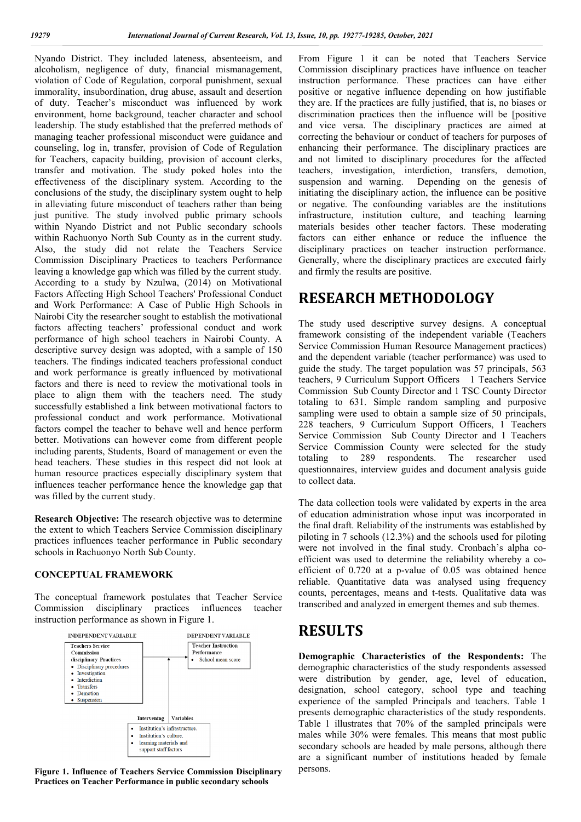Nyando District. They included lateness, absenteeism, and alcoholism, negligence of duty, financial mismanagement, violation of Code of Regulation, corporal punishment, sexual immorality, insubordination, drug abuse, assault and desertion of duty. Teacher's misconduct was influenced by work environment, home background, teacher character and school leadership. The study established that the preferred methods of managing teacher professional misconduct were guidance and counseling, log in, transfer, provision of Code of Regulation for Teachers, capacity building, provision of account clerks, transfer and motivation. The study poked holes into the effectiveness of the disciplinary system. According to the conclusions of the study, the disciplinary system ought to help in alleviating future misconduct of teachers rather than being just punitive. The study involved public primary schools within Nyando District and not Public secondary schools within Rachuonyo North Sub County as in the current study. Also, the study did not relate the Teachers Service Commission Disciplinary Practices to teachers Performance leaving a knowledge gap which was filled by the current study. According to a study by Nzulwa, (2014) on Motivational Factors Affecting High School Teachers' Professional Conduct and Work Performance: A Case of Public High Schools in Nairobi City the researcher sought to establish the motivational factors affecting teachers' professional conduct and work performance of high school teachers in Nairobi County. A descriptive survey design was adopted, with a sample of 150 teachers. The findings indicated teachers professional conduct and work performance is greatly influenced by motivational factors and there is need to review the motivational tools in place to align them with the teachers need. The study successfully established a link between motivational factors to professional conduct and work performance. Motivational factors compel the teacher to behave well and hence perform better. Motivations can however come from different people including parents, Students, Board of management or even the head teachers. These studies in this respect did not look at human resource practices especially disciplinary system that influences teacher performance hence the knowledge gap that was filled by the current study.

**Research Objective:** The research objective was to determine the extent to which Teachers Service Commission disciplinary practices influences teacher performance in Public secondary schools in Rachuonyo North Sub County.

#### **CONCEPTUAL FRAMEWORK**

The conceptual framework postulates that Teacher Service Commission disciplinary practices influences teacher instruction performance as shown in Figure 1.



**Figure 1. Influence of Teachers Service Commission Disciplinary Practices on Teacher Performance in public secondary schools**

From Figure 1 it can be noted that Teachers Service Commission disciplinary practices have influence on teacher instruction performance. These practices can have either positive or negative influence depending on how justifiable they are. If the practices are fully justified, that is, no biases or discrimination practices then the influence will be [positive and vice versa. The disciplinary practices are aimed at correcting the behaviour or conduct of teachers for purposes of enhancing their performance. The disciplinary practices are and not limited to disciplinary procedures for the affected teachers, investigation, interdiction, transfers, demotion, Depending on the genesis of initiating the disciplinary action, the influence can be positive or negative. The confounding variables are the institutions infrastructure, institution culture, and teaching learning materials besides other teacher factors. These moderating factors can either enhance or reduce the influence the disciplinary practices on teacher instruction performance. Generally, where the disciplinary practices are executed fairly and firmly the results are positive.

## **RESEARCH METHODOLOGY**

The study used descriptive survey designs. A conceptual framework consisting of the independent variable (Teachers Service Commission Human Resource Management practices) and the dependent variable (teacher performance) was used to guide the study. The target population was 57 principals, 563 teachers, 9 Curriculum Support Officers 1 Teachers Service Commission Sub County Director and 1 TSC County Director totaling to 631. Simple random sampling and purposive sampling were used to obtain a sample size of 50 principals, 228 teachers, 9 Curriculum Support Officers, 1 Teachers Service Commission Sub County Director and 1 Teachers Service Commission County were selected for the study totaling to 289 respondents. The researcher used questionnaires, interview guides and document analysis guide to collect data.

The data collection tools were validated by experts in the area of education administration whose input was incorporated in the final draft. Reliability of the instruments was established by piloting in 7 schools (12.3%) and the schools used for piloting were not involved in the final study. Cronbach's alpha coefficient was used to determine the reliability whereby a coefficient of 0.720 at a p-value of 0.05 was obtained hence reliable. Quantitative data was analysed using frequency counts, percentages, means and t-tests. Qualitative data was transcribed and analyzed in emergent themes and sub themes.

## **RESULTS**

**Demographic Characteristics of the Respondents:** The demographic characteristics of the study respondents assessed were distribution by gender, age, level of education, designation, school category, school type and teaching experience of the sampled Principals and teachers. Table 1 presents demographic characteristics of the study respondents. Table 1 illustrates that 70% of the sampled principals were males while 30% were females. This means that most public secondary schools are headed by male persons, although there are a significant number of institutions headed by female persons.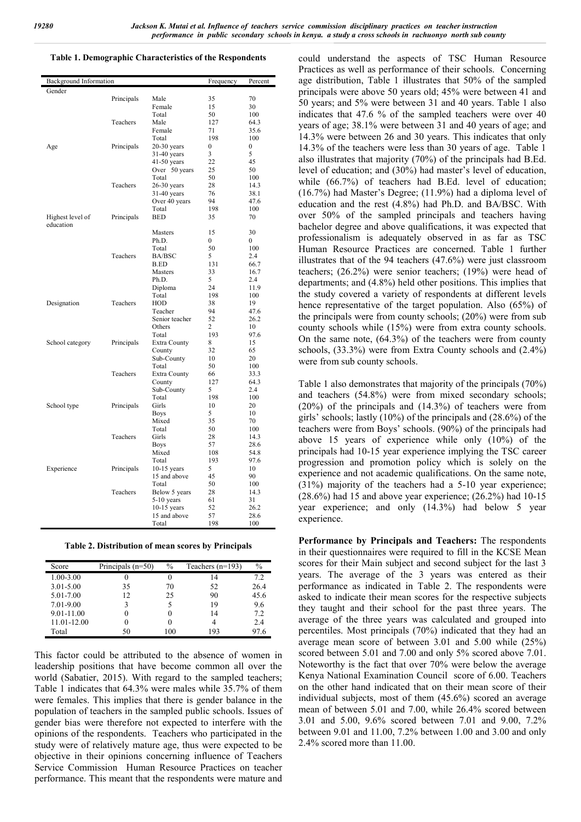#### **Table 1. Demographic Characteristics of the Respondents**

| Background Information |            |                       | Frequency    | Percent      |
|------------------------|------------|-----------------------|--------------|--------------|
| Gender                 |            |                       |              |              |
|                        | Principals | Male                  | 35           | 70           |
|                        |            | Female                | 15           | 30           |
|                        |            | Total                 | 50           | 100          |
|                        | Teachers   | Male                  | 127          | 64.3         |
|                        |            | Female                | 71           | 35.6         |
|                        |            | Total                 | 198          | 100          |
| Age                    | Principals | $20-30$ years         | $\mathbf{0}$ | $\mathbf{0}$ |
|                        |            | $31-40$ years         | 3            | 5            |
|                        |            | $41-50$ years         | 22           | 45           |
|                        |            | Over 50 years         | 25           | 50           |
|                        |            | Total                 | 50           | 100          |
|                        | Teachers   | $26-30$ years         | 28           | 14.3         |
|                        |            | $31-40$ years         | 76           | 38.1         |
|                        |            | Over 40 years         | 94           | 47.6         |
|                        |            | Total                 | 198          | 100          |
| Highest level of       | Principals | <b>BED</b>            | 35           | 70           |
| education              |            |                       |              |              |
|                        |            | <b>Masters</b>        | 15           | 30           |
|                        |            | Ph.D.                 | 0            | $\Omega$     |
|                        |            | Total                 | 50           | 100          |
|                        | Teachers   | <b>BA/BSC</b>         | 5            | 2.4          |
|                        |            | <b>B.ED</b>           | 131          | 66.7         |
|                        |            | Masters               | 33           | 16.7         |
|                        |            | Ph.D.                 | 5            | 2.4          |
|                        |            | Diploma               | 24           | 11.9         |
|                        |            | Total                 | 198          | 100          |
| Designation            | Teachers   | <b>HOD</b>            | 38           | 19           |
|                        |            | Teacher               | 94           | 47.6         |
|                        |            | Senior teacher        | 52           | 26.2         |
|                        |            | Others                | 2            | 10           |
|                        |            | Total                 | 193          | 97.6         |
| School category        | Principals | Extra County          | 8            | 15           |
|                        |            | County                | 32           | 65           |
|                        |            | Sub-County            | 10           | 20           |
|                        |            | Total                 | 50           | 100          |
|                        | Teachers   | Extra County          | 66           | 33.3         |
|                        |            | County                | 127          | 64.3         |
|                        |            | Sub-County            | 5            | 2.4          |
|                        |            | Total                 | 198          | 100          |
| School type            | Principals | Girls                 | 10           | 20           |
|                        |            | Boys                  | 5            | 10           |
|                        |            | Mixed                 | 35           | 70           |
|                        | Teachers   | Total                 | 50           | 100          |
|                        |            | Girls                 | 28           | 14.3         |
|                        |            | <b>Boys</b><br>Mixed  | 57<br>108    | 28.6<br>54.8 |
|                        |            |                       |              | 97.6         |
|                        |            | Total                 | 193<br>5     | 10           |
| Experience             | Principals | $10-15$ years         | 45           | 90           |
|                        |            | 15 and above<br>Total | 50           | 100          |
|                        | Teachers   | Below 5 years         | 28           | 14.3         |
|                        |            | $5-10$ years          | 61           | 31           |
|                        |            | $10-15$ years         | 52           | 26.2         |
|                        |            | 15 and above          | 57           | 28.6         |
|                        |            | Total                 | 198          | 100          |
|                        |            |                       |              |              |

**Table 2. Distribution of mean scores by Principals**

| Score         | Principals $(n=50)$ | $\%$ | Teachers $(n=193)$ | $\%$ |
|---------------|---------------------|------|--------------------|------|
| $1.00 - 3.00$ |                     |      | 14                 | 7.2  |
| $3.01 - 5.00$ | 35                  | 70   | 52                 | 26.4 |
| 5.01-7.00     | 12                  | 25   | 90                 | 45.6 |
| 7.01-9.00     |                     |      | 19                 | 9.6  |
| 9.01-11.00    |                     |      | 14                 | 7.2  |
| 11.01-12.00   |                     |      |                    | 2.4  |
| Total         |                     | 100  | 193                | 97.6 |

This factor could be attributed to the absence of women in leadership positions that have become common all over the world (Sabatier, 2015). With regard to the sampled teachers; Table 1 indicates that 64.3% were males while 35.7% of them were females. This implies that there is gender balance in the population of teachers in the sampled public schools. Issues of gender bias were therefore not expected to interfere with the opinions of the respondents. Teachers who participated in the study were of relatively mature age, thus were expected to be objective in their opinions concerning influence of Teachers Service Commission Human Resource Practices on teacher performance. This meant that the respondents were mature and

could understand the aspects of TSC Human Resource Practices as well as performance of their schools. Concerning age distribution, Table 1 illustrates that 50% of the sampled principals were above 50 years old; 45% were between 41 and 50 years; and 5% were between 31 and 40 years. Table 1 also indicates that 47.6 % of the sampled teachers were over 40 years of age; 38.1% were between 31 and 40 years of age; and 14.3% were between 26 and 30 years. This indicates that only 14.3% of the teachers were less than 30 years of age. Table 1 also illustrates that majority (70%) of the principals had B.Ed. level of education; and (30%) had master's level of education, while (66.7%) of teachers had B.Ed. level of education; (16.7%) had Master's Degree; (11.9%) had a diploma level of education and the rest (4.8%) had Ph.D. and BA/BSC. With over 50% of the sampled principals and teachers having bachelor degree and above qualifications, it was expected that professionalism is adequately observed in as far as TSC Human Resource Practices are concerned. Table 1 further illustrates that of the 94 teachers (47.6%) were just classroom teachers; (26.2%) were senior teachers; (19%) were head of departments; and (4.8%) held other positions. This implies that the study covered a variety of respondents at different levels hence representative of the target population. Also (65%) of the principals were from county schools; (20%) were from sub county schools while (15%) were from extra county schools. On the same note, (64.3%) of the teachers were from county schools, (33.3%) were from Extra County schools and (2.4%) were from sub county schools.

Table 1 also demonstrates that majority of the principals (70%) and teachers (54.8%) were from mixed secondary schools; (20%) of the principals and (14.3%) of teachers were from girls' schools; lastly (10%) of the principals and (28.6%) of the teachers were from Boys' schools. (90%) of the principals had above 15 years of experience while only (10%) of the principals had 10-15 year experience implying the TSC career progression and promotion policy which is solely on the experience and not academic qualifications. On the same note, (31%) majority of the teachers had a 5-10 year experience;  $(28.6\%)$  had 15 and above year experience;  $(26.2\%)$  had 10-15 year experience; and only (14.3%) had below 5 year experience.

**Performance by Principals and Teachers:** The respondents in their questionnaires were required to fill in the KCSE Mean scores for their Main subject and second subject for the last 3 years. The average of the 3 years was entered as their performance as indicated in Table 2. The respondents were asked to indicate their mean scores for the respective subjects they taught and their school for the past three years. The average of the three years was calculated and grouped into percentiles. Most principals (70%) indicated that they had an average mean score of between 3.01 and 5.00 while (25%) scored between 5.01 and 7.00 and only 5% scored above 7.01. Noteworthy is the fact that over 70% were below the average Kenya National Examination Council score of 6.00. Teachers on the other hand indicated that on their mean score of their individual subjects, most of them (45.6%) scored an average mean of between 5.01 and 7.00, while 26.4% scored between 3.01 and 5.00, 9.6% scored between 7.01 and 9.00, 7.2% between 9.01 and 11.00, 7.2% between 1.00 and 3.00 and only 2.4% scored more than 11.00.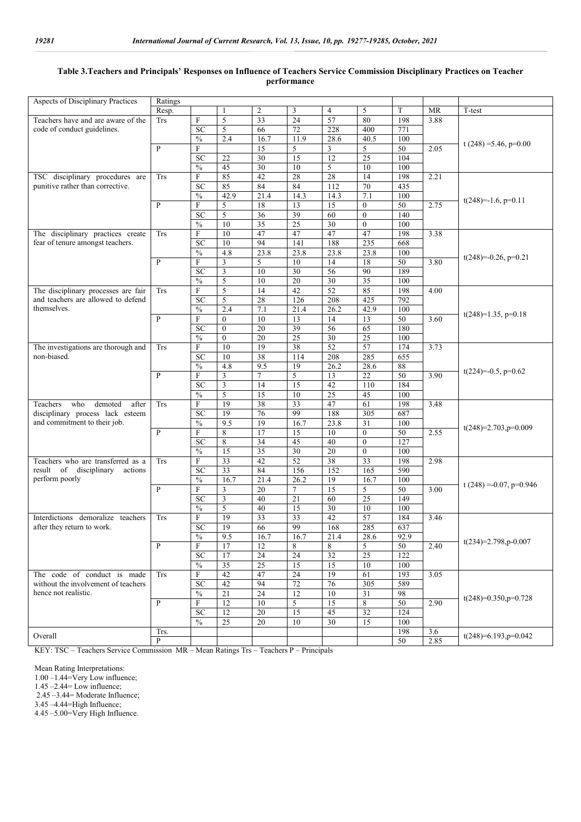### **Table 3.Teachers and Principals' Responses on Influence of Teachers Service Commission Disciplinary Practices on Teacher performance**

| Aspects of Disciplinary Practices   | Ratings      |                                 |                 |                 |                 |                 |                                  |                  |           |                            |
|-------------------------------------|--------------|---------------------------------|-----------------|-----------------|-----------------|-----------------|----------------------------------|------------------|-----------|----------------------------|
|                                     | Resp.        |                                 |                 | 2               | 3               | 4               | 5                                | T                | <b>MR</b> | T-test                     |
| Teachers have and are aware of the  | <b>Trs</b>   | $\boldsymbol{\mathrm{F}}$       | 5               | 33              | 24              | 57              | 80                               | 198              | 3.88      |                            |
| code of conduct guidelines.         |              | SC                              | 5               | 66              | 72              | 228             | 400                              | 771              |           |                            |
|                                     |              | $\frac{0}{0}$                   | 2.4             | 16.7            | 11.9            | 28.6            | 40.5                             | 100              |           |                            |
|                                     | $\mathbf{P}$ | $\mathbf F$                     |                 | 15              | 5               | 3               | 5                                | 50               | 2.05      | t $(248) = 5.46$ , p=0.00  |
|                                     |              | SC                              | 22              | $\overline{30}$ | 15              | 12              | 25                               | 104              |           |                            |
|                                     |              | $\frac{0}{6}$                   | 45              | $\overline{30}$ | 10              | 5               | 10                               | 100              |           |                            |
| TSC disciplinary procedures are     | <b>Trs</b>   | $\mathbf F$                     | 85              | 42              | 28              | 28              | 14                               | 198              | 2.21      |                            |
| punitive rather than corrective.    |              | <b>SC</b>                       | 85              | 84              | 84              | 112             | 70                               | 435              |           |                            |
|                                     |              | $\frac{0}{0}$                   | 42.9            | 21.4            | 14.3            | 14.3            | 7.1                              | 100              |           |                            |
|                                     | $\mathbf{P}$ |                                 |                 | 18              |                 | 15              |                                  | 50               | 2.75      | $t(248)=-1.6, p=0.11$      |
|                                     |              | $\boldsymbol{\mathrm{F}}$<br>SC | 5<br>5          | 36              | 13<br>39        | 60              | $\boldsymbol{0}$<br>$\mathbf{0}$ | $\overline{140}$ |           |                            |
|                                     |              |                                 |                 |                 |                 |                 |                                  |                  |           |                            |
|                                     |              | $\frac{0}{0}$                   | 10              | 35              | 25              | 30              | $\mathbf{0}$                     | 100              |           |                            |
| The disciplinary practices create   | <b>Trs</b>   | $\mathbf F$                     | 10              | 47              | 47              | 47              | 47                               | 198              | 3.38      |                            |
| fear of tenure amongst teachers.    |              | SC                              | 10              | 94              | 141             | 188             | 235                              | 668              |           |                            |
|                                     |              | $\frac{0}{0}$                   | 4.8             | 23.8            | 23.8            | 23.8            | 23.8                             | 100              |           | $t(248)=-0.26$ , $p=0.21$  |
|                                     | $\mathbf{P}$ | F                               | 3               | 5               | 10              | 14              | 18                               | 50               | 3.80      |                            |
|                                     |              | <b>SC</b>                       | $\mathfrak z$   | 10              | $\overline{30}$ | 56              | 90                               | 189              |           |                            |
|                                     |              | $\frac{0}{0}$                   | 5               | 10              | 20              | 30              | 35                               | 100              |           |                            |
| The disciplinary processes are fair | Trs          | $\boldsymbol{\mathrm{F}}$       | 5               | 14              | 42              | $\overline{52}$ | 85                               | 198              | 4.00      |                            |
| and teachers are allowed to defend  |              | <b>SC</b>                       | 5               | 28              | 126             | 208             | 425                              | 792              |           |                            |
| themselves.                         |              | $\frac{0}{6}$                   | 2.4             | 7.1             | 21.4            | 26.2            | 42.9                             | 100              |           | $t(248)=1.35$ , $p=0.18$   |
|                                     | $\mathbf{P}$ | $\boldsymbol{\mathrm{F}}$       | $\mathbf{0}$    | 10              | 13              | 14              | 13                               | 50               | 3.60      |                            |
|                                     |              | <b>SC</b>                       | $\mathbf{0}$    | 20              | 39              | 56              | 65                               | 180              |           |                            |
|                                     |              | $\frac{0}{0}$                   | $\theta$        | 20              | $\overline{25}$ | $\overline{30}$ | $\overline{25}$                  | 100              |           |                            |
| The investigations are thorough and | <b>Trs</b>   | $\boldsymbol{\mathrm{F}}$       | 10              | 19              | 38              | $\overline{52}$ | 57                               | 174              | 3.73      |                            |
| non-biased.                         |              | <b>SC</b>                       | 10              | 38              | 114             | 208             | 285                              | 655              |           |                            |
|                                     |              | $\frac{0}{6}$                   | 4.8             | 9.5             | 19              | 26.2            | 28.6                             | 88               |           | $t(224)=-0.5$ , $p=0.62$   |
|                                     | $\mathbf{P}$ | $\mathbf F$                     | $\overline{3}$  | $\tau$          | 5               | 13              | 22                               | 50               | 3.90      |                            |
|                                     |              | SC                              | $\mathfrak{Z}$  | 14              | 15              | 42              | 110                              | 184              |           |                            |
|                                     |              | $\frac{0}{6}$                   | 5               | 15              | 10              | $\overline{25}$ | 45                               | 100              |           |                            |
| who<br>Teachers<br>demoted<br>after | <b>Trs</b>   | $\boldsymbol{\mathrm{F}}$       | 19              | 38              | 33              | 47              | 61                               | 198              | 3.48      |                            |
| disciplinary process lack esteem    |              | SC                              | 19              | 76              | 99              | 188             | 305                              | 687              |           |                            |
| and commitment to their job.        |              | $\frac{0}{0}$                   | 9.5             | 19              | 16.7            | 23.8            | 31                               | 100              |           | $t(248)=2.703$ , $p=0.009$ |
|                                     | $\mathbf{P}$ | $\mathbf F$                     | 8               | 17              | 15              | 10              | $\mathbf{0}$                     | 50               | 2.55      |                            |
|                                     |              | <b>SC</b>                       | 8               | 34              | 45              | 40              | $\mathbf{0}$                     | 127              |           |                            |
|                                     |              | $\frac{0}{0}$                   | $\overline{15}$ | 35              | 30              | $\overline{20}$ | $\mathbf{0}$                     | 100              |           |                            |
| Teachers who are transferred as a   | <b>Trs</b>   | $\mathbf F$                     | $\overline{33}$ | 42              | 52              | $\overline{38}$ | $\overline{33}$                  | 198              | 2.98      |                            |
| result of disciplinary<br>actions   |              | SC                              | $\overline{33}$ | 84              | 156             | 152             | 165                              | 590              |           |                            |
| perform poorly                      |              | $\frac{0}{6}$                   | 16.7            | 21.4            | 26.2            | 19              | 16.7                             | 100              |           |                            |
|                                     | $\, {\bf P}$ | ${\bf F}$                       | 3               | 20              | $\tau$          | 15              | 5                                | 50               | 3.00      | t $(248) = 0.07$ , p=0.946 |
|                                     |              | <b>SC</b>                       | $\mathfrak{Z}$  | 40              | 21              | 60              | $\overline{25}$                  | 149              |           |                            |
|                                     |              | $\frac{0}{0}$                   | 5               | 40              | 15              | 30              | 10                               | 100              |           |                            |
| Interdictions demoralize teachers   | Trs          | F                               | 19              | 33              | 33              | 42              | 57                               | 184              | 3.46      |                            |
| after they return to work.          |              | <b>SC</b>                       | 19              | 66              | 99              | 168             | 285                              | 637              |           |                            |
|                                     |              | $\%$                            | 9.5             | 16.7            | 16.7            | 21.4            | 28.6                             | 92.9             |           |                            |
|                                     | $\mathbf{P}$ | $\mathbf F$                     | 17              | 12              | 8               | 8               | 5                                | 50               | 2.40      | $t(234)=2.798$ , p-0.007   |
|                                     |              | SC                              | 17              | $\overline{24}$ | $\overline{24}$ | $\overline{32}$ | $\overline{25}$                  | 122              |           |                            |
|                                     |              | $\frac{0}{0}$                   | 35              | 25              | 15              | 15              | 10                               | 100              |           |                            |
| The code of conduct is made         | <b>Trs</b>   | F                               | 42              | 47              | 24              | 19              | 61                               | 193              | 3.05      |                            |
| without the involvement of teachers |              | <b>SC</b>                       | 42              | 94              | $72\,$          | 76              | 305                              | 589              |           |                            |
| hence not realistic.                |              | $\frac{0}{0}$                   | 21              | 24              | 12              | 10              | 31                               | 98               |           |                            |
|                                     | $\mathbf{P}$ | F                               | 12              | 10              | 5               | 15              | 8                                | 50               | 2.90      | $t(248)=0.350$ , p=0.728   |
|                                     |              | <b>SC</b>                       | 12              | $20\,$          | 15              | 45              | 32                               | 124              |           |                            |
|                                     |              | $\frac{0}{0}$                   | 25              | 20              | 10              | 30              | 15                               | 100              |           |                            |
|                                     | Trs.         |                                 |                 |                 |                 |                 |                                  | 198              | 3.6       |                            |
| Overall                             | $\, {\bf P}$ |                                 |                 |                 |                 |                 |                                  | 50               | 2.85      | t(248)=6.193,p=0.042       |

KEY: TSC – Teachers Service Commission MR – Mean Ratings Trs – Teachers P – Principals

Mean Rating Interpretations:

1.00 –1.44=Very Low influence;

1.45 –2.44= Low influence; 2.45 –3.44= Moderate Influence;

3.45 –4.44=High Influence;

 $4.45 - 5.00$ =Very High Influence.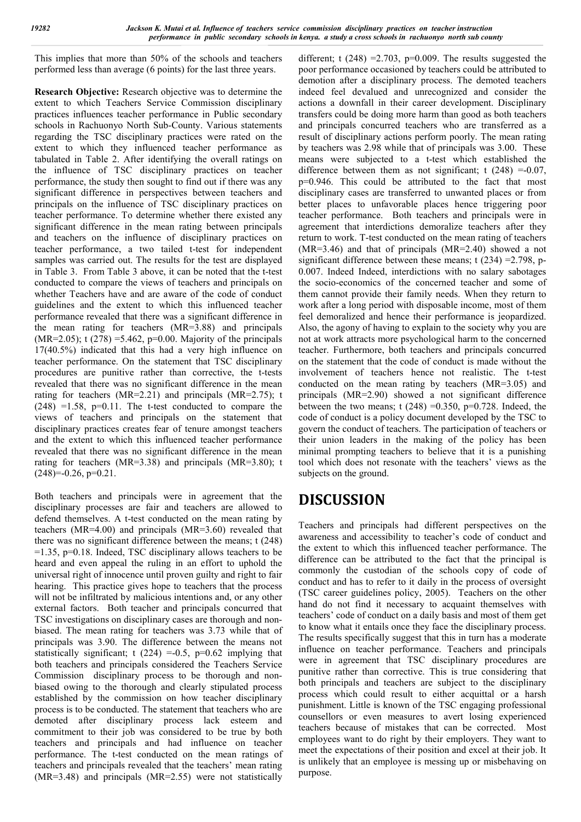This implies that more than 50% of the schools and teachers performed less than average (6 points) for the last three years.

**Research Objective:** Research objective was to determine the extent to which Teachers Service Commission disciplinary practices influences teacher performance in Public secondary schools in Rachuonyo North Sub-County. Various statements regarding the TSC disciplinary practices were rated on the extent to which they influenced teacher performance as tabulated in Table 2. After identifying the overall ratings on the influence of TSC disciplinary practices on teacher performance, the study then sought to find out if there was any significant difference in perspectives between teachers and principals on the influence of TSC disciplinary practices on teacher performance. To determine whether there existed any significant difference in the mean rating between principals and teachers on the influence of disciplinary practices on teacher performance, a two tailed t-test for independent samples was carried out. The results for the test are displayed in Table 3. From Table 3 above, it can be noted that the t-test conducted to compare the views of teachers and principals on whether Teachers have and are aware of the code of conduct guidelines and the extent to which this influenced teacher performance revealed that there was a significant difference in the mean rating for teachers (MR=3.88) and principals (MR=2.05); t (278) = 5.462, p=0.00. Majority of the principals 17(40.5%) indicated that this had a very high influence on teacher performance. On the statement that TSC disciplinary procedures are punitive rather than corrective, the t-tests revealed that there was no significant difference in the mean rating for teachers (MR=2.21) and principals (MR=2.75); t  $(248)$  =1.58, p=0.11. The t-test conducted to compare the views of teachers and principals on the statement that disciplinary practices creates fear of tenure amongst teachers and the extent to which this influenced teacher performance revealed that there was no significant difference in the mean rating for teachers (MR=3.38) and principals (MR=3.80); t  $(248)=-0.26$ ,  $p=0.21$ .

Both teachers and principals were in agreement that the disciplinary processes are fair and teachers are allowed to defend themselves. A t-test conducted on the mean rating by teachers (MR=4.00) and principals (MR=3.60) revealed that there was no significant difference between the means; t (248)  $=1.35$ ,  $p=0.18$ . Indeed, TSC disciplinary allows teachers to be heard and even appeal the ruling in an effort to uphold the universal right of innocence until proven guilty and right to fair hearing. This practice gives hope to teachers that the process will not be infiltrated by malicious intentions and, or any other external factors. Both teacher and principals concurred that TSC investigations on disciplinary cases are thorough and nonbiased. The mean rating for teachers was 3.73 while that of principals was 3.90. The difference between the means not statistically significant; t  $(224) = 0.5$ ,  $p=0.62$  implying that both teachers and principals considered the Teachers Service Commission disciplinary process to be thorough and nonbiased owing to the thorough and clearly stipulated process established by the commission on how teacher disciplinary process is to be conducted. The statement that teachers who are demoted after disciplinary process lack esteem and commitment to their job was considered to be true by both teachers and principals and had influence on teacher performance. The t-test conducted on the mean ratings of teachers and principals revealed that the teachers' mean rating (MR=3.48) and principals (MR=2.55) were not statistically different; t  $(248)$  =2.703, p=0.009. The results suggested the poor performance occasioned by teachers could be attributed to demotion after a disciplinary process. The demoted teachers indeed feel devalued and unrecognized and consider the actions a downfall in their career development. Disciplinary transfers could be doing more harm than good as both teachers and principals concurred teachers who are transferred as a result of disciplinary actions perform poorly. The mean rating by teachers was 2.98 while that of principals was 3.00. These means were subjected to a t-test which established the difference between them as not significant; t  $(248) = -0.07$ , p=0.946. This could be attributed to the fact that most disciplinary cases are transferred to unwanted places or from better places to unfavorable places hence triggering poor teacher performance. Both teachers and principals were in agreement that interdictions demoralize teachers after they return to work. T-test conducted on the mean rating of teachers (MR=3.46) and that of principals (MR=2.40) showed a not significant difference between these means; t  $(234) = 2.798$ , p-0.007. Indeed Indeed, interdictions with no salary sabotages the socio-economics of the concerned teacher and some of them cannot provide their family needs. When they return to work after a long period with disposable income, most of them feel demoralized and hence their performance is jeopardized. Also, the agony of having to explain to the society why you are not at work attracts more psychological harm to the concerned teacher. Furthermore, both teachers and principals concurred on the statement that the code of conduct is made without the involvement of teachers hence not realistic. The t-test conducted on the mean rating by teachers (MR=3.05) and principals (MR=2.90) showed a not significant difference between the two means; t  $(248) = 0.350$ , p=0.728. Indeed, the code of conduct is a policy document developed by the TSC to govern the conduct of teachers. The participation of teachers or their union leaders in the making of the policy has been minimal prompting teachers to believe that it is a punishing tool which does not resonate with the teachers' views as the subjects on the ground.

# **DISCUSSION**

Teachers and principals had different perspectives on the awareness and accessibility to teacher's code of conduct and the extent to which this influenced teacher performance. The difference can be attributed to the fact that the principal is commonly the custodian of the schools copy of code of conduct and has to refer to it daily in the process of oversight (TSC career guidelines policy, 2005). Teachers on the other hand do not find it necessary to acquaint themselves with teachers' code of conduct on a daily basis and most of them get to know what it entails once they face the disciplinary process. The results specifically suggest that this in turn has a moderate influence on teacher performance. Teachers and principals were in agreement that TSC disciplinary procedures are punitive rather than corrective. This is true considering that both principals and teachers are subject to the disciplinary process which could result to either acquittal or a harsh punishment. Little is known of the TSC engaging professional counsellors or even measures to avert losing experienced teachers because of mistakes that can be corrected. Most employees want to do right by their employers. They want to meet the expectations of their position and excel at their job. It is unlikely that an employee is messing up or misbehaving on purpose.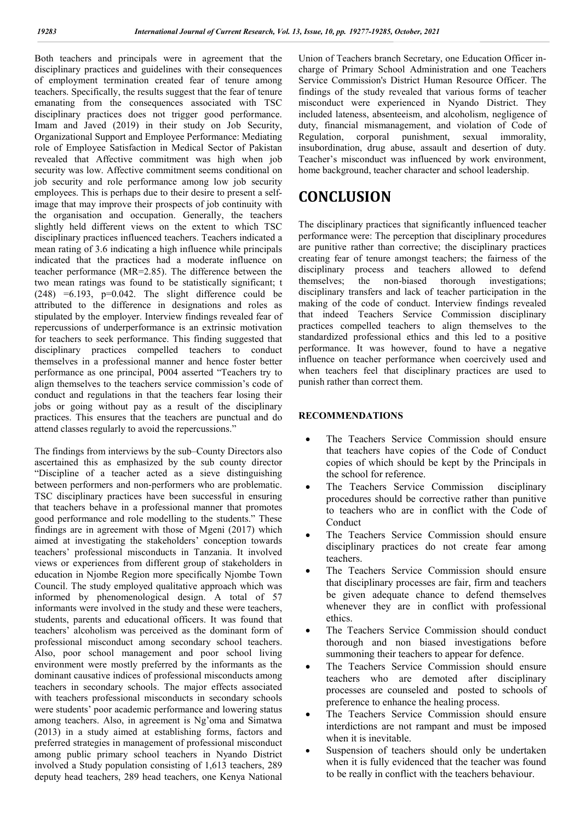Both teachers and principals were in agreement that the disciplinary practices and guidelines with their consequences of employment termination created fear of tenure among teachers. Specifically, the results suggest that the fear of tenure emanating from the consequences associated with TSC disciplinary practices does not trigger good performance. Imam and Javed (2019) in their study on Job Security, Organizational Support and Employee Performance: Mediating role of Employee Satisfaction in Medical Sector of Pakistan revealed that Affective commitment was high when job security was low. Affective commitment seems conditional on job security and role performance among low job security employees. This is perhaps due to their desire to present a selfimage that may improve their prospects of job continuity with the organisation and occupation. Generally, the teachers slightly held different views on the extent to which TSC disciplinary practices influenced teachers. Teachers indicated a mean rating of 3.6 indicating a high influence while principals indicated that the practices had a moderate influence on teacher performance (MR=2.85). The difference between the two mean ratings was found to be statistically significant; t  $(248)$  =6.193, p=0.042. The slight difference could be attributed to the difference in designations and roles as stipulated by the employer. Interview findings revealed fear of repercussions of underperformance is an extrinsic motivation for teachers to seek performance. This finding suggested that disciplinary practices compelled teachers to conduct themselves in a professional manner and hence foster better performance as one principal, P004 asserted "Teachers try to align themselves to the teachers service commission's code of conduct and regulations in that the teachers fear losing their jobs or going without pay as a result of the disciplinary practices. This ensures that the teachers are punctual and do attend classes regularly to avoid the repercussions."

The findings from interviews by the sub–County Directors also ascertained this as emphasized by the sub county director "Discipline of a teacher acted as a sieve distinguishing between performers and non-performers who are problematic. TSC disciplinary practices have been successful in ensuring that teachers behave in a professional manner that promotes good performance and role modelling to the students." These findings are in agreement with those of Mgeni (2017) which aimed at investigating the stakeholders' conception towards teachers' professional misconducts in Tanzania. It involved views or experiences from different group of stakeholders in education in Njombe Region more specifically Njombe Town Council. The study employed qualitative approach which was informed by phenomenological design. A total of 57 informants were involved in the study and these were teachers, students, parents and educational officers. It was found that teachers' alcoholism was perceived as the dominant form of professional misconduct among secondary school teachers. Also, poor school management and poor school living environment were mostly preferred by the informants as the dominant causative indices of professional misconducts among teachers in secondary schools. The major effects associated with teachers professional misconducts in secondary schools were students' poor academic performance and lowering status among teachers. Also, in agreement is Ng'oma and Simatwa (2013) in a study aimed at establishing forms, factors and preferred strategies in management of professional misconduct among public primary school teachers in Nyando District involved a Study population consisting of 1,613 teachers, 289 deputy head teachers, 289 head teachers, one Kenya National

Union of Teachers branch Secretary, one Education Officer incharge of Primary School Administration and one Teachers Service Commission's District Human Resource Officer. The findings of the study revealed that various forms of teacher misconduct were experienced in Nyando District. They included lateness, absenteeism, and alcoholism, negligence of duty, financial mismanagement, and violation of Code of Regulation, corporal punishment, sexual immorality, insubordination, drug abuse, assault and desertion of duty. Teacher's misconduct was influenced by work environment, home background, teacher character and school leadership.

# **CONCLUSION**

The disciplinary practices that significantly influenced teacher performance were: The perception that disciplinary procedures are punitive rather than corrective; the disciplinary practices creating fear of tenure amongst teachers; the fairness of the disciplinary process and teachers allowed to defend themselves; the non-biased thorough investigations; disciplinary transfers and lack of teacher participation in the making of the code of conduct. Interview findings revealed that indeed Teachers Service Commission disciplinary practices compelled teachers to align themselves to the standardized professional ethics and this led to a positive performance. It was however, found to have a negative influence on teacher performance when coercively used and when teachers feel that disciplinary practices are used to punish rather than correct them.

## **RECOMMENDATIONS**

- The Teachers Service Commission should ensure that teachers have copies of the Code of Conduct copies of which should be kept by the Principals in the school for reference.
- The Teachers Service Commission disciplinary procedures should be corrective rather than punitive to teachers who are in conflict with the Code of Conduct
- The Teachers Service Commission should ensure disciplinary practices do not create fear among teachers.
- The Teachers Service Commission should ensure that disciplinary processes are fair, firm and teachers be given adequate chance to defend themselves whenever they are in conflict with professional ethics.
- The Teachers Service Commission should conduct thorough and non biased investigations before summoning their teachers to appear for defence.
- The Teachers Service Commission should ensure teachers who are demoted after disciplinary processes are counseled and posted to schools of preference to enhance the healing process.
- The Teachers Service Commission should ensure interdictions are not rampant and must be imposed when it is inevitable.
- Suspension of teachers should only be undertaken when it is fully evidenced that the teacher was found to be really in conflict with the teachers behaviour.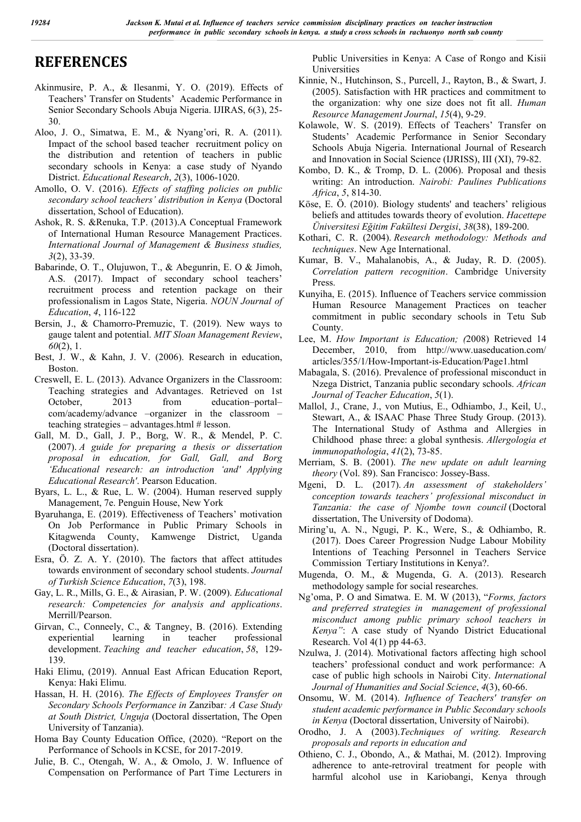# **REFERENCES**

- Akinmusire, P. A., & Ilesanmi, Y. O. (2019). Effects of Teachers' Transfer on Students' Academic Performance in Senior Secondary Schools Abuja Nigeria. IJIRAS, 6(3), 25- 30.
- Aloo, J. O., Simatwa, E. M., & Nyang'ori, R. A. (2011). Impact of the school based teacher recruitment policy on the distribution and retention of teachers in public secondary schools in Kenya: a case study of Nyando District. *Educational Research*, *2*(3), 1006-1020.
- Amollo, O. V. (2016). *Effects of staffing policies on public secondary school teachers' distribution in Kenya* (Doctoral dissertation, School of Education).
- Ashok, R. S. &Renuka, T.P. (2013).A Conceptual Framework of International Human Resource Management Practices. *International Journal of Management & Business studies, 3*(2), 33-39.
- Babarinde, O. T., Olujuwon, T., & Abegunrin, E. O & Jimoh, A.S. (2017). Impact of secondary school teachers' recruitment process and retention package on their professionalism in Lagos State, Nigeria. *NOUN Journal of Education*, *4*, 116-122
- Bersin, J., & Chamorro-Premuzic, T. (2019). New ways to gauge talent and potential. *MIT Sloan Management Review*, *60*(2), 1.
- Best, J. W., & Kahn, J. V. (2006). Research in education, Boston.
- Creswell, E. L. (2013). Advance Organizers in the Classroom: Teaching strategies and Advantages. Retrieved on 1st October, 2013 from education–portal– com/academy/advance –organizer in the classroom – teaching strategies – advantages.html # lesson.
- Gall, M. D., Gall, J. P., Borg, W. R., & Mendel, P. C. (2007). *A guide for preparing a thesis or dissertation proposal in education, for Gall, Gall, and Borg 'Educational research: an introduction 'and' Applying Educational Research'*. Pearson Education.
- Byars, L. L., & Rue, L. W. (2004). Human reserved supply Management, 7e. Penguin House, New York
- Byaruhanga, E. (2019). Effectiveness of Teachers' motivation On Job Performance in Public Primary Schools in Kitagwenda County, Kamwenge District, Uganda (Doctoral dissertation).
- Esra, Ö. Z. A. Y. (2010). The factors that affect attitudes towards environment of secondary school students. *Journal of Turkish Science Education*, *7*(3), 198.
- Gay, L. R., Mills, G. E., & Airasian, P. W. (2009). *Educational research: Competencies for analysis and applications*. Merrill/Pearson.
- Girvan, C., Conneely, C., & Tangney, B. (2016). Extending experiential learning in teacher professional development. *Teaching and teacher education*, *58*, 129- 139.
- Haki Elimu, (2019). Annual East African Education Report, Kenya: Haki Elimu.
- Hassan, H. H. (2016). *The Effects of Employees Transfer on Secondary Schools Performance in* Zanzibar*: A Case Study at South District, Unguja* (Doctoral dissertation, The Open University of Tanzania).
- Homa Bay County Education Office, (2020). "Report on the Performance of Schools in KCSE, for 2017-2019.
- Julie, B. C., Otengah, W. A., & Omolo, J. W. Influence of Compensation on Performance of Part Time Lecturers in

Public Universities in Kenya: A Case of Rongo and Kisii Universities

- Kinnie, N., Hutchinson, S., Purcell, J., Rayton, B., & Swart, J. (2005). Satisfaction with HR practices and commitment to the organization: why one size does not fit all. *Human Resource Management Journal*, *15*(4), 9-29.
- Kolawole, W. S. (2019). Effects of Teachers' Transfer on Students' Academic Performance in Senior Secondary Schools Abuja Nigeria. International Journal of Research and Innovation in Social Science (IJRISS), III (XI), 79-82.
- Kombo, D. K., & Tromp, D. L. (2006). Proposal and thesis writing: An introduction. *Nairobi: Paulines Publications Africa*, *5*, 814-30.
- Köse, E. Ö. (2010). Biology students' and teachers' religious beliefs and attitudes towards theory of evolution. *Hacettepe Üniversitesi Eğitim Fakültesi Dergisi*, *38*(38), 189-200.
- Kothari, C. R. (2004). *Research methodology: Methods and techniques*. New Age International.
- Kumar, B. V., Mahalanobis, A., & Juday, R. D. (2005). *Correlation pattern recognition*. Cambridge University Press.
- Kunyiha, E. (2015). Influence of Teachers service commission Human Resource Management Practices on teacher commitment in public secondary schools in Tetu Sub County.
- Lee, M. *How Important is Education; (*2008) Retrieved 14 December, 2010, from http://www.uaseducation.com/ articles/355/1/How-Important-is-Education/Page1.html
- Mabagala, S. (2016). Prevalence of professional misconduct in Nzega District, Tanzania public secondary schools. *African Journal of Teacher Education*, *5*(1).
- Mallol, J., Crane, J., von Mutius, E., Odhiambo, J., Keil, U., Stewart, A., & ISAAC Phase Three Study Group. (2013). The International Study of Asthma and Allergies in Childhood phase three: a global synthesis. *Allergologia et immunopathologia*, *41*(2), 73-85.
- Merriam, S. B. (2001). *The new update on adult learning theory* (Vol. 89). San Francisco: Jossey-Bass.
- Mgeni, D. L. (2017). *An assessment of stakeholders' conception towards teachers' professional misconduct in Tanzania: the case of Njombe town council* (Doctoral dissertation, The University of Dodoma).
- Miring'u, A. N., Ngugi, P. K., Were, S., & Odhiambo, R. (2017). Does Career Progression Nudge Labour Mobility Intentions of Teaching Personnel in Teachers Service Commission Tertiary Institutions in Kenya?.
- Mugenda, O. M., & Mugenda, G. A. (2013). Research methodology sample for social researches.
- Ng'oma, P. O and Simatwa. E. M. W (2013), "*Forms, factors and preferred strategies in management of professional misconduct among public primary school teachers in Kenya"*: A case study of Nyando District Educational Research. Vol 4(1) pp 44-63.
- Nzulwa, J. (2014). Motivational factors affecting high school teachers' professional conduct and work performance: A case of public high schools in Nairobi City. *International Journal of Humanities and Social Science*, *4*(3), 60-66.
- Onsomu, W. M. (2014). *Influence of Teachers' transfer on student academic performance in Public Secondary schools in Kenya* (Doctoral dissertation, University of Nairobi).
- Orodho, J. A (2003).*Techniques of writing. Research proposals and reports in education and*
- Othieno, C. J., Obondo, A., & Mathai, M. (2012). Improving adherence to ante-retroviral treatment for people with harmful alcohol use in Kariobangi, Kenya through